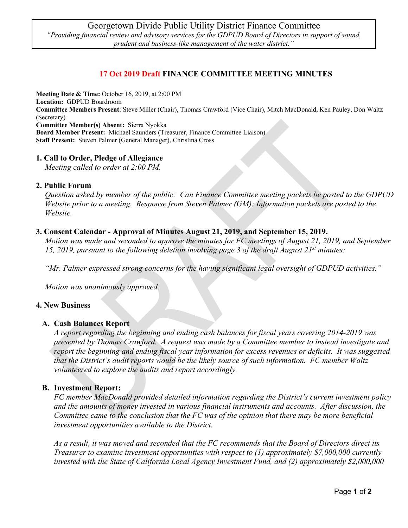# **17 Oct 2019 Draft FINANCE COMMITTEE MEETING MINUTES**

**Meeting Date & Time:** October 16, 2019, at 2:00 PM

**Location:** GDPUD Boardroom

**Committee Members Present**: Steve Miller (Chair), Thomas Crawford (Vice Chair), Mitch MacDonald, Ken Pauley, Don Waltz (Secretary)

**Committee Member(s) Absent:** Sierra Nyokka

**Board Member Present:** Michael Saunders (Treasurer, Finance Committee Liaison) **Staff Present:** Steven Palmer (General Manager), Christina Cross

## **1. Call to Order, Pledge of Allegiance**

*Meeting called to order at 2:00 PM.*

#### **2. Public Forum**

*Question asked by member of the public: Can Finance Committee meeting packets be posted to the GDPUD Website prior to a meeting. Response from Steven Palmer (GM): Information packets are posted to the Website.* 

## **3. Consent Calendar - Approval of Minutes August 21, 2019, and September 15, 2019.**

*Motion was made and seconded to approve the minutes for FC meetings of August 21, 2019, and September 15, 2019, pursuant to the following deletion involving page 3 of the draft August 21st minutes:*

*"Mr. Palmer expressed strong concerns for the having significant legal oversight of GDPUD activities."*

*Motion was unanimously approved.*

#### **4. New Business**

#### **A. Cash Balances Report**

*A report regarding the beginning and ending cash balances for fiscal years covering 2014-2019 was presented by Thomas Crawford. A request was made by a Committee member to instead investigate and report the beginning and ending fiscal year information for excess revenues or deficits. It was suggested that the District's audit reports would be the likely source of such information. FC member Waltz volunteered to explore the audits and report accordingly.*

#### **B. Investment Report:**

*FC member MacDonald provided detailed information regarding the District's current investment policy and the amounts of money invested in various financial instruments and accounts. After discussion, the Committee came to the conclusion that the FC was of the opinion that there may be more beneficial investment opportunities available to the District.* 

*As a result, it was moved and seconded that the FC recommends that the Board of Directors direct its Treasurer to examine investment opportunities with respect to (1) approximately \$7,000,000 currently invested with the State of California Local Agency Investment Fund, and (2) approximately \$2,000,000*